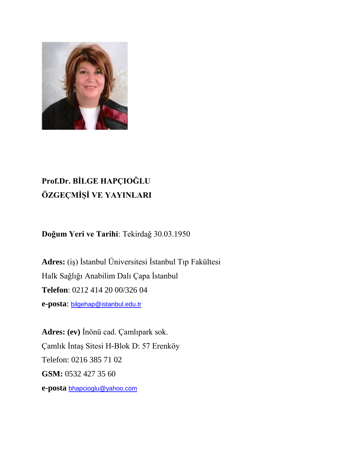

# **Prof.Dr. BİLGE HAPÇIOĞLU ÖZGEÇMİŞİ VE YAYINLARI**

**Doğum Yeri ve Tarihi**: Tekirdağ 30.03.1950

**Adres:** (iş) İstanbul Üniversitesi İstanbul Tıp Fakültesi Halk Sağlığı Anabilim Dalı Çapa İstanbul **Telefon**: 0212 414 20 00/326 04 **e-posta**: [bilgehap@istanbul.edu.tr](mailto:bilgehap@istanbul.edu.tr)

**Adres: (ev)** İnönü cad. Çamlıpark sok. Çamlık İntaş Sitesi H-Blok D: 57 Erenköy Telefon: 0216 385 71 02 **GSM:** 0532 427 35 60 **e-posta** [bhapcioglu@yahoo.com](mailto:bhapcioglu@yahoo.com)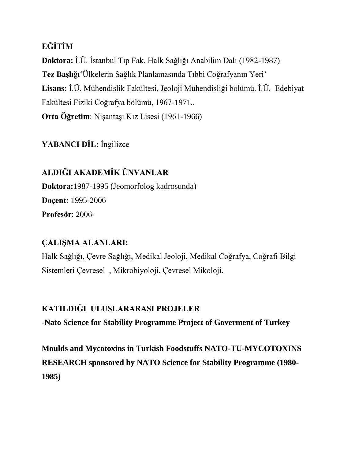### **EĞİTİM**

**Doktora:** İ.Ü. İstanbul Tıp Fak. Halk Sağlığı Anabilim Dalı (1982-1987) **Tez Başlığı**'Ülkelerin Sağlık Planlamasında Tıbbi Coğrafyanın Yeri' **Lisans:** İ.Ü. Mühendislik Fakültesi, Jeoloji Mühendisliği bölümü. İ.Ü. Edebiyat Fakültesi Fiziki Coğrafya bölümü, 1967-1971.. **Orta Öğretim**: Nişantaşı Kız Lisesi (1961-1966)

#### **YABANCI DİL:** İngilizce

**ALDIĞI AKADEMİK ÜNVANLAR Doktora:**1987-1995 (Jeomorfolog kadrosunda) **Doçent:** 1995-2006 **Profesör**: 2006-

#### **ÇALIŞMA ALANLARI:**

Halk Sağlığı, Çevre Sağlığı, Medikal Jeoloji, Medikal Coğrafya, Coğrafi Bilgi Sistemleri Çevresel , Mikrobiyoloji, Çevresel Mikoloji.

#### **KATILDIĞI ULUSLARARASI PROJELER**

-**Nato Science for Stability Programme Project of Goverment of Turkey**

**Moulds and Mycotoxins in Turkish Foodstuffs NATO-TU-MYCOTOXINS RESEARCH sponsored by NATO Science for Stability Programme (1980- 1985)**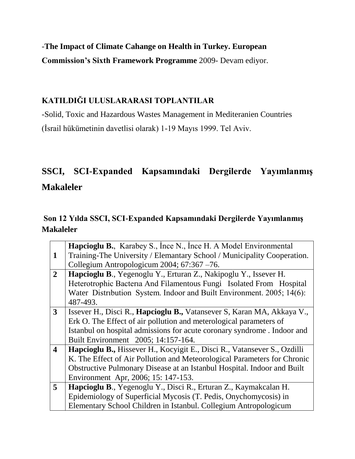-**The Impact of Climate Cahange on Health in Turkey. European** 

**Commission's Sixth Framework Programme** 2009- Devam ediyor.

#### **KATILDIĞI ULUSLARARASI TOPLANTILAR**

-Solid, Toxic and Hazardous Wastes Management in Mediteranien Countries (İsrail hükümetinin davetlisi olarak) 1-19 Mayıs 1999. Tel Aviv.

# **SSCI, SCI-Expanded Kapsamındaki Dergilerde Yayımlanmış Makaleler**

## **Son 12 Yılda SSCI, SCI-Expanded Kapsamındaki Dergilerde Yayımlanmış Makaleler**

|                         | <b>Hapcioglu B.</b> , Karabey S., Ince N., Ince H. A Model Environmental      |
|-------------------------|-------------------------------------------------------------------------------|
| $\mathbf{1}$            | Training-The University / Elemantary School / Municipality Cooperation.       |
|                         | Collegium Antropologicum 2004; 67:367 -76.                                    |
| $\overline{2}$          | Hapcioglu B., Yegenoglu Y., Erturan Z., Nakipoglu Y., Issever H.              |
|                         | Heterotrophic Bacteria And Filamentous Fungi Isolated From Hospital           |
|                         | Water Distribution System. Indoor and Built Environment. 2005; 14(6):         |
|                         | 487-493.                                                                      |
| $\mathbf{3}$            | Issever H., Disci R., <b>Hapcioglu B.,</b> Vatansever S, Karan MA, Akkaya V., |
|                         | Erk O. The Effect of air pollution and meterological parameters of            |
|                         | Istanbul on hospital admissions for acute coronary syndrome. Indoor and       |
|                         | Built Environment 2005; 14:157-164.                                           |
| $\overline{\mathbf{4}}$ | Hapcioglu B., Hissever H., Kocyigit E., Disci R., Vatansever S., Ozdilli      |
|                         | K. The Effect of Air Pollution and Meteorological Parameters for Chronic      |
|                         | Obstructive Pulmonary Disease at an Istanbul Hospital. Indoor and Built       |
|                         | Environment Apr, 2006; 15: 147-153.                                           |
| 5 <sup>5</sup>          | Hapcioglu B., Yegenoglu Y., Disci R., Erturan Z., Kaymakcalan H.              |
|                         | Epidemiology of Superficial Mycosis (T. Pedis, Onychomycosis) in              |
|                         | Elementary School Children in Istanbul. Collegium Antropologicum              |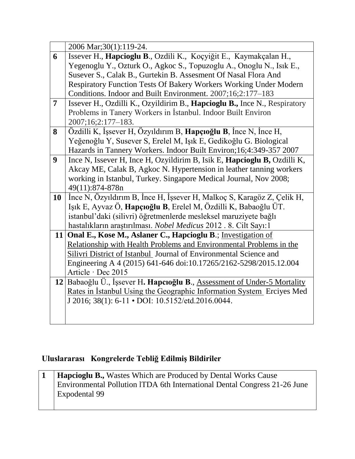|                | 2006 Mar; 30(1): 119-24.                                                         |
|----------------|----------------------------------------------------------------------------------|
| 6              | Issever H., Hapcioglu B., Ozdili K., Koçyiğit E., Kaymakçalan H.,                |
|                | Yegenoglu Y., Ozturk O., Agkoc S., Topuzoglu A., Onoglu N., Isik E.,             |
|                | Susever S., Calak B., Gurtekin B. Assesment Of Nasal Flora And                   |
|                | Respiratory Function Tests Of Bakery Workers Working Under Modern                |
|                | Conditions. Indoor and Built Environment. 2007;16;2:177-183                      |
| $\overline{7}$ | Issever H., Ozdilli K., Ozyildirim B., <b>Hapcioglu B.,</b> Ince N., Respiratory |
|                | Problems in Tanery Workers in Istanbul. Indoor Built Environ                     |
|                | 2007;16;2:177-183.                                                               |
| 8              | Özdilli K, İşsever H, Özyıldırım B, <b>Hapçıoğlu B</b> , İnce N, İnce H,         |
|                | Yeğenoğlu Y, Susever S, Erelel M, Işık E, Gedikoğlu G. Biological                |
|                | Hazards in Tannery Workers. Indoor Built Environ; 16; 4:349-357 2007             |
| 9              | Ince N, Issever H, Ince H, Ozyildirim B, Isik E, <b>Hapcioglu B,</b> Ozdilli K,  |
|                | Akcay ME, Calak B, Agkoc N. Hypertension in leather tanning workers              |
|                | working in Istanbul, Turkey. Singapore Medical Journal, Nov 2008;                |
|                | 49(11):874-878n                                                                  |
| <b>10</b>      | Ince N, Özyıldırım B, İnce H, İşsever H, Malkoç S, Karagöz Z, Çelik H,           |
|                | Işık E, Ayvaz Ö, Hapçıoğlu B, Erelel M, Özdilli K, Babaoğlu ÜT.                  |
|                | istanbul'daki (silivri) öğretmenlerde mesleksel maruziyete bağlı                 |
|                | hastalıkların araştırılması. Nobel Medicus 2012 . 8. Cilt Sayı:1                 |
|                | 11 Onal E., Kose M., Aslaner C., Hapcioglu B.; Investigation of                  |
|                | Relationship with Health Problems and Environmental Problems in the              |
|                | Silivri District of Istanbul Journal of Environmental Science and                |
|                | Engineering A 4 (2015) 641-646 doi:10.17265/2162-5298/2015.12.004                |
|                | Article · Dec 2015                                                               |
|                | 12 Babaoğlu Ü., İşsever H. Hapcıoğlu B., Assessment of Under-5 Mortality         |
|                | Rates in Istanbul Using the Geographic Information System Erciyes Med            |
|                | J 2016; 38(1): 6-11 · DOI: 10.5152/etd.2016.0044.                                |
|                |                                                                                  |
|                |                                                                                  |

## **Uluslararası Kongrelerde Tebliğ Edilmiş Bildiriler**

| <b>Hapcioglu B., Wastes Which are Produced by Dental Works Cause</b>      |
|---------------------------------------------------------------------------|
| Environmental Pollution ITDA 6th International Dental Congress 21-26 June |
| <b>Expodental 99</b>                                                      |
|                                                                           |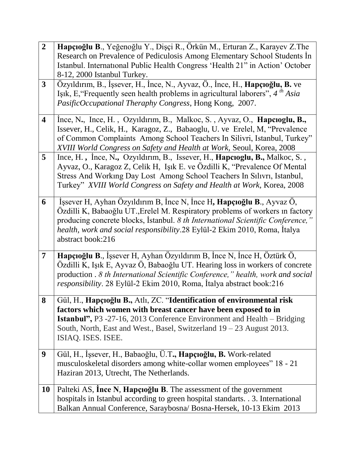| $\overline{2}$          | Hapçıoğlu B., Yeğenoğlu Y., Dişçi R., Örkün M., Erturan Z., Karayev Z.The<br>Research on Prevalence of Pediculosis Among Elementary School Students In<br>Istanbul. International Public Health Congress 'Health 21" in Action' October                                                                                                     |
|-------------------------|---------------------------------------------------------------------------------------------------------------------------------------------------------------------------------------------------------------------------------------------------------------------------------------------------------------------------------------------|
|                         | 8-12, 2000 Istanbul Turkey.                                                                                                                                                                                                                                                                                                                 |
| $\mathbf{3}$            | Özyıldırım, B., İşsever, H., İnce, N., Ayvaz, Ö., İnce, H., <b>Hapçıoğlu, B.</b> ve<br>Işık, E, "Frequently seen health problems in agricultural laborers", $4th Asia$<br>PasificOccupational Theraphy Congress, Hong Kong, 2007.                                                                                                           |
| $\overline{\mathbf{4}}$ | Ince, N., Ince, H., Ozyıldırım, B., Malkoc, S., Ayvaz, O., <b>Hapcıoglu, B.,</b><br>Issever, H., Celik, H., Karagoz, Z., Babaoglu, U. ve Erelel, M. "Prevalence<br>of Common Complaints Among School Teachers In Silivri, Istanbul, Turkey"<br>XVIII World Congress on Safety and Health at Work, Seoul, Korea, 2008                        |
| 5 <sup>5</sup>          | Ince, H., Ince, N., Ozyıldırım, B., Issever, H., <b>Hapcioglu, B.,</b> Malkoc, S.,<br>Ayvaz, O., Karagoz Z, Celik H, Işık E. ve Özdilli K, "Prevalence Of Mental<br>Stress And Working Day Lost Among School Teachers In Silivri, Istanbul,<br>Turkey" XVIII World Congress on Safety and Health at Work, Korea, 2008                       |
| 6                       | İşsever H, Ayhan Özyıldırım B, İnce N, İnce H, Hapçıoğlu B., Ayvaz Ö,<br>Özdilli K, Babaoğlu UT., Erelel M. Respiratory problems of workers in factory<br>producing concrete blocks, Istanbul. 8 th International Scientific Conference,"<br>health, work and social responsibility.28 Eylül-2 Ekim 2010, Roma, İtalya<br>abstract book:216 |
| $\overline{7}$          | Hapçıoğlu B., İşsever H, Ayhan Özyıldırım B, İnce N, İnce H, Öztürk Ö,<br>Özdilli K, Işık E, Ayvaz Ö, Babaoğlu UT. Hearing loss in workers of concrete<br>production . 8 th International Scientific Conference," health, work and social<br>responsibility. 28 Eylül-2 Ekim 2010, Roma, İtalya abstract book:216                           |
| 8                       | Gül, H., Hapçıoğlu B., Atlı, ZC. "Identification of environmental risk<br>factors which women with breast cancer have been exposed to in<br><b>Istanbul", P3</b> -27-16, 2013 Conference Environment and Health – Bridging<br>South, North, East and West., Basel, Switzerland 19 - 23 August 2013.                                         |
|                         | ISIAQ. ISES. ISEE.                                                                                                                                                                                                                                                                                                                          |
| 9                       | Gül, H., İşsever, H., Babaoğlu, Ü.T., Hapçıoğlu, B. Work-related<br>musculoskeletal disorders among white-collar women employees" 18 - 21<br>Haziran 2013, Utrecht, The Netherlands.                                                                                                                                                        |
| <b>10</b>               | Palteki AS, Ince N, Hapçioğlu B. The assessment of the government<br>hospitals in Istanbul according to green hospital standarts. . 3. International<br>Balkan Annual Conference, Saraybosna/ Bosna-Hersek, 10-13 Ekim 2013                                                                                                                 |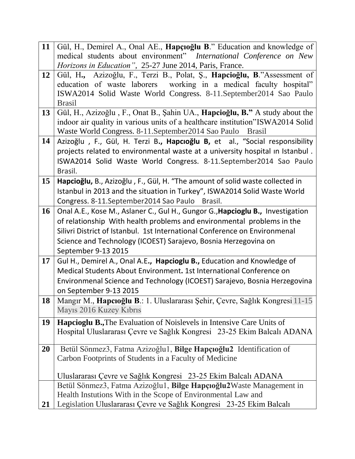| 11        | Gül, H., Demirel A., Onal AE., Hapçıoğlu B." Education and knowledge of             |
|-----------|-------------------------------------------------------------------------------------|
|           | medical students about environment" International Conference on New                 |
|           | <i>Horizons in Education", 25-27 June 2014, Paris, France.</i>                      |
| <b>12</b> | Gül, H., Azizoğlu, F., Terzi B., Polat, Ş., Hapcioğlu, B."Assessment of             |
|           | education of waste laborers working in a medical faculty hospital"                  |
|           | ISWA2014 Solid Waste World Congress. 8-11. September 2014 Sao Paulo                 |
|           | <b>Brasil</b>                                                                       |
| 13        | Gül, H., Azizoğlu, F., Onat B., Şahin UA., <b>Hapcioğlu, B.</b> " A study about the |
|           | indoor air quality in various units of a healthcare institution"ISWA2014 Solid      |
|           | Waste World Congress. 8-11.September2014 Sao Paulo<br><b>Brasil</b>                 |
| 14        | Azizoğlu, F., Gül, H. Terzi B., Hapcıoğlu B, et al., "Social responsibility         |
|           | projects related to environmental waste at a university hospital in Istanbul.       |
|           | ISWA2014 Solid Waste World Congress. 8-11.September2014 Sao Paulo                   |
|           | Brasil.                                                                             |
| 15        | Hapcioğlu, B., Azizoğlu, F., Gül, H. "The amount of solid waste collected in        |
|           | Istanbul in 2013 and the situation in Turkey", ISWA2014 Solid Waste World           |
|           | Congress. 8-11.September2014 Sao Paulo<br>Brasil.                                   |
| <b>16</b> | Onal A.E., Kose M., Aslaner C., Gul H., Gungor G., Hapcioglu B., Investigation      |
|           | of relationship With health problems and environmental problems in the              |
|           | Silivri District of Istanbul. 1st International Conference on Environmenal          |
|           | Science and Technology (ICOEST) Sarajevo, Bosnia Herzegovina on                     |
|           | September 9-13 2015                                                                 |
| 17        | Gul H., Demirel A., Onal A.E., Hapcioglu B., Education and Knowledge of             |
|           | Medical Students About Environment. 1st International Conference on                 |
|           | Environmenal Science and Technology (ICOEST) Sarajevo, Bosnia Herzegovina           |
|           | on September 9-13 2015                                                              |
| 18        | Mangır M., Hapcıoğlu B.: 1. Uluslararası Şehir, Çevre, Sağlık Kongresi 11-15        |
|           | Mayıs 2016 Kuzey Kıbrıs                                                             |
| 19        | <b>Hapcioglu B., The Evaluation of Noislevels in Intensive Care Units of</b>        |
|           | Hospital Uluslararası Çevre ve Sağlık Kongresi 23-25 Ekim Balcalı ADANA             |
|           |                                                                                     |
| 20        | Betül Sönmez3, Fatma Azizoğlu1, Bilge Hapçıoğlu2 Identification of                  |
|           | Carbon Footprints of Students in a Faculty of Medicine                              |
|           |                                                                                     |
|           | Uluslararası Çevre ve Sağlık Kongresi 23-25 Ekim Balcalı ADANA                      |
|           | Betül Sönmez3, Fatma Azizoğlu1, Bilge Hapçıoğlu2Waste Management in                 |
|           | Health Instutions With in the Scope of Environmental Law and                        |
| 21        | Legislation Uluslararası Çevre ve Sağlık Kongresi 23-25 Ekim Balcalı                |